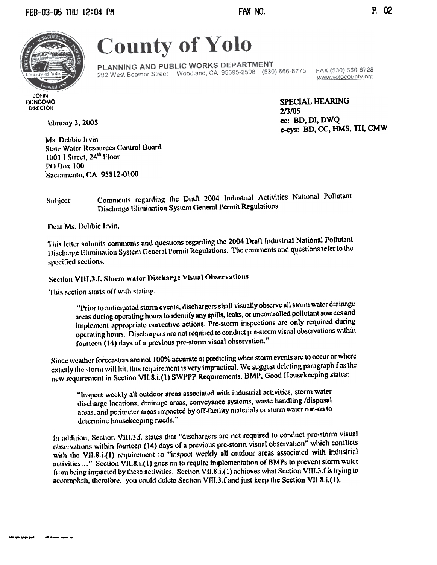

**County of Yolo** 

PLANNING AND PUBLIC WORKS DEPARTMENT 292 West Beamer Street Woodland, CA 95695-2598 (530) 666-8775 FAX (530) 666-8728

www.yolocounty.org

**JOHN BI:NCOMO DIRECTOR** 

مب و هونتها ب

**SPECIAL HEARING**  $2/3/05$ cc: BD, DI, DWQ e-cys: BD, CC, HMS, TH, CMW

ebruary 3, 2005

Ms. Debbie Irvin State Water Resources Control Board 1001 I Street, 24th Floor **PO Box 100** Sacramento, CA 95812-0100

## Comments regarding the Draft 2004 Industrial Activities National Pollutant Subject Discharge Elimination System General Permit Regulations

Dear Ms, Debbie Irvin,

This letter submits comments and questions regarding the 2004 Draft Industrial National Pollutant Discharge Elimination System General Permit Regulations. The comments and questions refer to the specified sections.

## Section VIII.3.f. Storm water Discharge Visual Observations

This section starts off with stating:

"Prior to anticipated storm events, dischargers shall visually observe all storm water drainage areas during operating hours to identify any spills, leaks, or uncontrolled pollutant sources and implement appropriate corrective actions. Pre-storm inspections are only required during operating hours. Dischargers are not required to conduct pre-storm visual observations within fourteen (14) days of a previous pre-storm visual observation."

Since weather forecasters are not 100% accurate at predicting when storm events are to occur or where exactly the storm will hit, this requirement is very impractical. We suggest deleting paragraph f as the new requirement in Section VII.8.i.(1) SWPPP Requirements, BMP, Good Housekeeping states:

"Inspect weekly all outdoor areas associated with industrial activities, storm water discharge locations, drainage areas, conveyance systems, waste handling /disposal areas, and perimeter areas impacted by off-facility materials or storm water run-on to determine housekeeping needs."

In addition, Section VIII.3.f. states that "dischargers are not required to conduct pre-storm visual observations within fourteen (14) days of a previous pre-storm visual observation" which conflicts with the VII.8.i.(1) requirement to "inspect weekly all outdoor areas associated with industrial activities..." Section VII.8.i.(1) goes on to require implementation of BMPs to prevent storm water from being impacted by these activities. Section VII.8.i.(1) achieves what Section VIII.3.f is trying to accomplish, therefore, you could delete Section VIII.3.f and just keep the Section VII 8.i.(1).